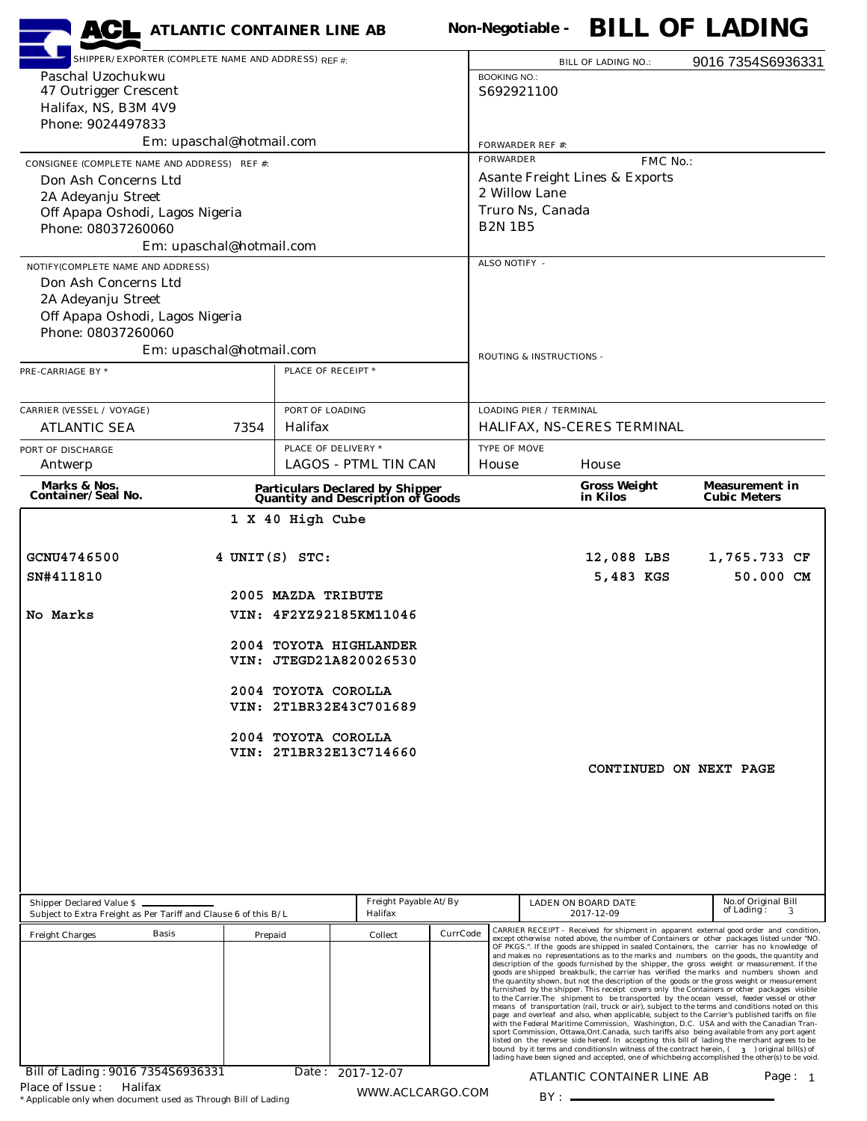| <b>ACL</b> ATLANTIC CONTAINER LINE AB                                                               |                          |                        |                                                                              |          |                                             |                                           |          | Non-Negotiable - BILL OF LADING                                                                                                                                                                 |
|-----------------------------------------------------------------------------------------------------|--------------------------|------------------------|------------------------------------------------------------------------------|----------|---------------------------------------------|-------------------------------------------|----------|-------------------------------------------------------------------------------------------------------------------------------------------------------------------------------------------------|
| SHIPPER/EXPORTER (COMPLETE NAME AND ADDRESS) REF #:                                                 |                          |                        |                                                                              |          |                                             | BILL OF LADING NO.:                       |          | 9016 7354S6936331                                                                                                                                                                               |
| Paschal Uzochukwu                                                                                   |                          |                        |                                                                              |          | <b>BOOKING NO.:</b>                         |                                           |          |                                                                                                                                                                                                 |
| 47 Outrigger Crescent                                                                               |                          |                        |                                                                              |          | S692921100                                  |                                           |          |                                                                                                                                                                                                 |
| Halifax, NS, B3M 4V9<br>Phone: 9024497833                                                           |                          |                        |                                                                              |          |                                             |                                           |          |                                                                                                                                                                                                 |
|                                                                                                     | Em: upaschal@hotmail.com |                        |                                                                              |          |                                             |                                           |          |                                                                                                                                                                                                 |
|                                                                                                     |                          |                        |                                                                              |          | <b>FORWARDER REF #:</b><br><b>FORWARDER</b> |                                           |          |                                                                                                                                                                                                 |
| CONSIGNEE (COMPLETE NAME AND ADDRESS) REF #:                                                        |                          |                        |                                                                              |          |                                             | <b>Asante Freight Lines &amp; Exports</b> | FMC No.: |                                                                                                                                                                                                 |
| Don Ash Concerns Ltd<br>2A Adeyanju Street                                                          |                          |                        |                                                                              |          | 2 Willow Lane                               |                                           |          |                                                                                                                                                                                                 |
| Off Apapa Oshodi, Lagos Nigeria                                                                     |                          |                        |                                                                              |          | Truro Ns, Canada                            |                                           |          |                                                                                                                                                                                                 |
| Phone: 08037260060                                                                                  |                          |                        |                                                                              |          | <b>B2N 1B5</b>                              |                                           |          |                                                                                                                                                                                                 |
|                                                                                                     | Em: upaschal@hotmail.com |                        |                                                                              |          |                                             |                                           |          |                                                                                                                                                                                                 |
| NOTIFY(COMPLETE NAME AND ADDRESS)                                                                   |                          |                        |                                                                              |          | ALSO NOTIFY -                               |                                           |          |                                                                                                                                                                                                 |
| Don Ash Concerns Ltd                                                                                |                          |                        |                                                                              |          |                                             |                                           |          |                                                                                                                                                                                                 |
| 2A Adeyanju Street                                                                                  |                          |                        |                                                                              |          |                                             |                                           |          |                                                                                                                                                                                                 |
| Off Apapa Oshodi, Lagos Nigeria                                                                     |                          |                        |                                                                              |          |                                             |                                           |          |                                                                                                                                                                                                 |
| Phone: 08037260060                                                                                  |                          |                        |                                                                              |          |                                             |                                           |          |                                                                                                                                                                                                 |
|                                                                                                     | Em: upaschal@hotmail.com |                        |                                                                              |          | ROUTING & INSTRUCTIONS -                    |                                           |          |                                                                                                                                                                                                 |
| PRE-CARRIAGE BY *                                                                                   |                          | PLACE OF RECEIPT *     |                                                                              |          |                                             |                                           |          |                                                                                                                                                                                                 |
|                                                                                                     |                          |                        |                                                                              |          |                                             |                                           |          |                                                                                                                                                                                                 |
| <b>CARRIER (VESSEL / VOYAGE)</b>                                                                    |                          | PORT OF LOADING        |                                                                              |          | <b>LOADING PIER / TERMINAL</b>              |                                           |          |                                                                                                                                                                                                 |
| ATLANTIC SEA                                                                                        | 7354                     | Halifax                |                                                                              |          |                                             | HALIFAX, NS-CERES TERMINAL                |          |                                                                                                                                                                                                 |
| PORT OF DISCHARGE                                                                                   |                          | PLACE OF DELIVERY *    |                                                                              |          | <b>TYPE OF MOVE</b>                         |                                           |          |                                                                                                                                                                                                 |
| Antwerp                                                                                             |                          |                        | <b>LAGOS - PTML TIN CAN</b>                                                  |          | House                                       | House                                     |          |                                                                                                                                                                                                 |
| Marks & Nos.<br>Container/Seal No.                                                                  |                          |                        | <b>Particulars Declared by Shipper<br/>Quantity and Description of Goods</b> |          |                                             | <b>Gross Weight</b><br>in Kilos           |          | <b>Measurement in</b><br><b>Cubic Meters</b>                                                                                                                                                    |
|                                                                                                     |                          | 1 X 40 High Cube       |                                                                              |          |                                             |                                           |          |                                                                                                                                                                                                 |
|                                                                                                     |                          |                        |                                                                              |          |                                             |                                           |          |                                                                                                                                                                                                 |
| GCNU4746500                                                                                         | 4 UNIT(S) STC:           |                        |                                                                              |          |                                             | 12,088 LBS                                |          | 1,765.733 CF                                                                                                                                                                                    |
| SN#411810                                                                                           |                          |                        |                                                                              |          |                                             | 5,483 KGS                                 |          | 50.000 CM                                                                                                                                                                                       |
|                                                                                                     |                          | 2005 MAZDA TRIBUTE     |                                                                              |          |                                             |                                           |          |                                                                                                                                                                                                 |
| No Marks                                                                                            |                          | VIN: 4F2YZ92185KM11046 |                                                                              |          |                                             |                                           |          |                                                                                                                                                                                                 |
|                                                                                                     |                          |                        |                                                                              |          |                                             |                                           |          |                                                                                                                                                                                                 |
|                                                                                                     |                          | 2004 TOYOTA HIGHLANDER |                                                                              |          |                                             |                                           |          |                                                                                                                                                                                                 |
|                                                                                                     |                          | VIN: JTEGD21A820026530 |                                                                              |          |                                             |                                           |          |                                                                                                                                                                                                 |
|                                                                                                     |                          | 2004 TOYOTA COROLLA    |                                                                              |          |                                             |                                           |          |                                                                                                                                                                                                 |
|                                                                                                     |                          | VIN: 2T1BR32E43C701689 |                                                                              |          |                                             |                                           |          |                                                                                                                                                                                                 |
|                                                                                                     |                          |                        |                                                                              |          |                                             |                                           |          |                                                                                                                                                                                                 |
|                                                                                                     |                          | 2004 TOYOTA COROLLA    |                                                                              |          |                                             |                                           |          |                                                                                                                                                                                                 |
|                                                                                                     |                          | VIN: 2T1BR32E13C714660 |                                                                              |          |                                             |                                           |          | CONTINUED ON NEXT PAGE                                                                                                                                                                          |
|                                                                                                     |                          |                        |                                                                              |          |                                             |                                           |          |                                                                                                                                                                                                 |
|                                                                                                     |                          |                        |                                                                              |          |                                             |                                           |          |                                                                                                                                                                                                 |
|                                                                                                     |                          |                        |                                                                              |          |                                             |                                           |          |                                                                                                                                                                                                 |
|                                                                                                     |                          |                        |                                                                              |          |                                             |                                           |          |                                                                                                                                                                                                 |
|                                                                                                     |                          |                        |                                                                              |          |                                             |                                           |          |                                                                                                                                                                                                 |
|                                                                                                     |                          |                        |                                                                              |          |                                             |                                           |          |                                                                                                                                                                                                 |
|                                                                                                     |                          |                        | Freight Payable At/By                                                        |          |                                             |                                           |          | No.of Original Bill                                                                                                                                                                             |
| <b>Shipper Declared Value \$</b><br>Subject to Extra Freight as Per Tariff and Clause 6 of this B/L |                          |                        | Halifax                                                                      |          |                                             | LADEN ON BOARD DATE<br>2017-12-09         |          | of Lading:<br>3                                                                                                                                                                                 |
| Basis<br><b>Freight Charges</b>                                                                     | Prepaid                  |                        | Collect                                                                      | CurrCode |                                             |                                           |          | CARRIER RECEIPT - Received for shipment in apparent external good order and condition,<br>except otherwise noted above, the number of Containers or other packages listed under "NO.            |
|                                                                                                     |                          |                        |                                                                              |          |                                             |                                           |          | OF PKGS.". If the goods are shipped in sealed Containers, the carrier has no knowledge of<br>and makes no representations as to the marks and numbers on the goods, the quantity and            |
|                                                                                                     |                          |                        |                                                                              |          |                                             |                                           |          | description of the goods furnished by the shipper, the gross weight or measurement. If the<br>goods are shipped breakbulk, the carrier has verified the marks and numbers shown and             |
|                                                                                                     |                          |                        |                                                                              |          |                                             |                                           |          | the quantity shown, but not the description of the goods or the gross weight or measurement<br>furnished by the shipper. This receipt covers only the Containers or other packages visible      |
|                                                                                                     |                          |                        |                                                                              |          |                                             |                                           |          | to the Carrier. The shipment to be transported by the ocean vessel, feeder vessel or other<br>means of transportation (rail, truck or air), subject to the terms and conditions noted on this   |
|                                                                                                     |                          |                        |                                                                              |          |                                             |                                           |          | page and overleaf and also, when applicable, subject to the Carrier's published tariffs on file<br>with the Federal Maritime Commission, Washington, D.C. USA and with the Canadian Tran-       |
|                                                                                                     |                          |                        |                                                                              |          |                                             |                                           |          | sport Commission, Ottawa, Ont. Canada, such tariffs also being available from any port agent<br>listed on the reverse side hereof. In accepting this bill of lading the merchant agrees to be   |
|                                                                                                     |                          |                        |                                                                              |          |                                             |                                           |          | bound by it terms and conditions in witness of the contract herein, (300 ) original bill(s) of<br>lading have been signed and accepted, one of whichbeing accomplished the other(s) to be void. |
| Bill of Lading: 9016 7354S6936331                                                                   |                          | Date: 2017-12-07       |                                                                              |          |                                             | ATLANTIC CONTAINER LINE AB                |          | Page: 1                                                                                                                                                                                         |
| Place of Issue:<br>Halifax<br>* Applicable only when document used as Through Bill of Lading        |                          |                        | WWW.ACLCARGO.COM                                                             |          |                                             | $BY:$ $\qquad \qquad \qquad$              |          |                                                                                                                                                                                                 |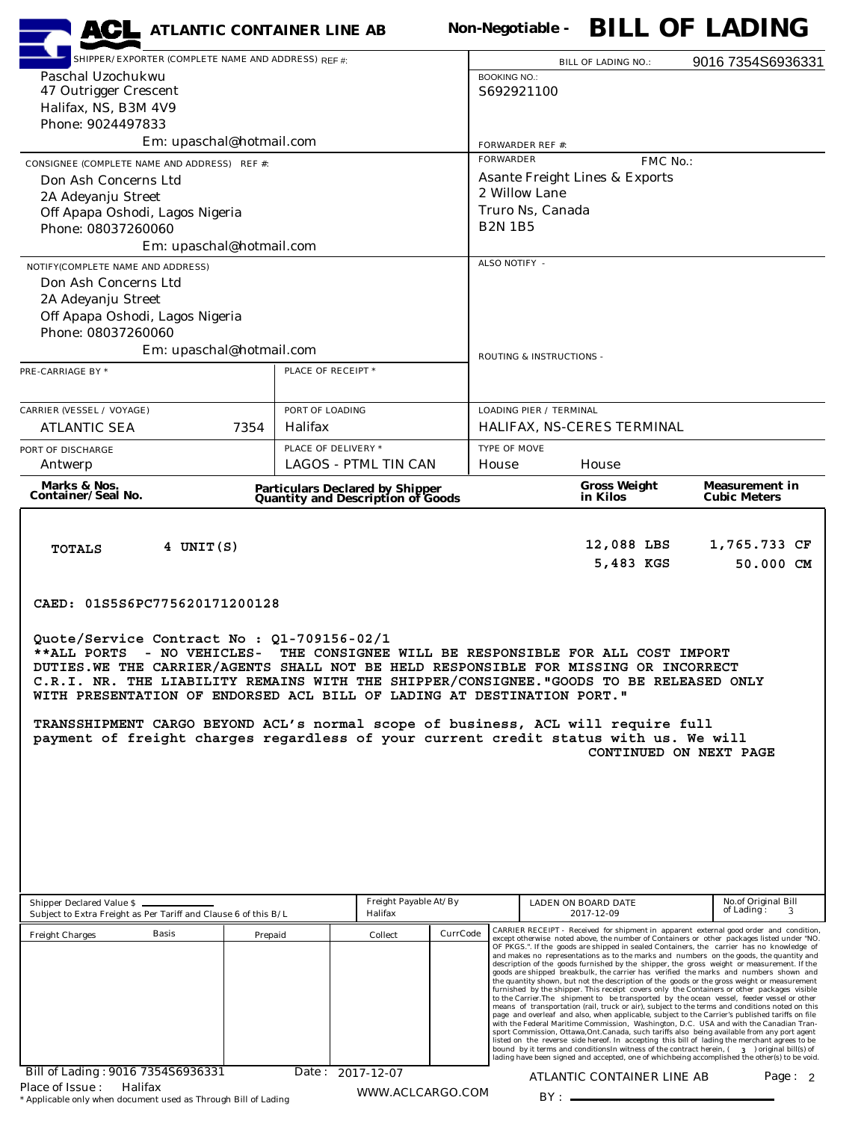| <b>ACL</b> ATLANTIC CONTAINER LINE AB                                                                                                                                                                                                                                                                                                                                                                                                                                                                                                                                                                                       |                                                                                    |                  |            |                                                                                 |                                           | Non-Negotiable - BILL OF LADING                                                                                                                                                                                                                                                                                                                                                                                                                                                                                                                                                                                                                                                                                                                                                                                                                                                                                                                                                                                                                                                                                                                                                                                                                                                                                                                                                                                                                                                                                                                                   |  |  |  |
|-----------------------------------------------------------------------------------------------------------------------------------------------------------------------------------------------------------------------------------------------------------------------------------------------------------------------------------------------------------------------------------------------------------------------------------------------------------------------------------------------------------------------------------------------------------------------------------------------------------------------------|------------------------------------------------------------------------------------|------------------|------------|---------------------------------------------------------------------------------|-------------------------------------------|-------------------------------------------------------------------------------------------------------------------------------------------------------------------------------------------------------------------------------------------------------------------------------------------------------------------------------------------------------------------------------------------------------------------------------------------------------------------------------------------------------------------------------------------------------------------------------------------------------------------------------------------------------------------------------------------------------------------------------------------------------------------------------------------------------------------------------------------------------------------------------------------------------------------------------------------------------------------------------------------------------------------------------------------------------------------------------------------------------------------------------------------------------------------------------------------------------------------------------------------------------------------------------------------------------------------------------------------------------------------------------------------------------------------------------------------------------------------------------------------------------------------------------------------------------------------|--|--|--|
| SHIPPER/EXPORTER (COMPLETE NAME AND ADDRESS) REF #:                                                                                                                                                                                                                                                                                                                                                                                                                                                                                                                                                                         |                                                                                    |                  |            |                                                                                 | <b>BILL OF LADING NO.:</b>                | 9016 7354S6936331                                                                                                                                                                                                                                                                                                                                                                                                                                                                                                                                                                                                                                                                                                                                                                                                                                                                                                                                                                                                                                                                                                                                                                                                                                                                                                                                                                                                                                                                                                                                                 |  |  |  |
| Paschal Uzochukwu                                                                                                                                                                                                                                                                                                                                                                                                                                                                                                                                                                                                           |                                                                                    |                  |            | <b>BOOKING NO.:</b>                                                             |                                           |                                                                                                                                                                                                                                                                                                                                                                                                                                                                                                                                                                                                                                                                                                                                                                                                                                                                                                                                                                                                                                                                                                                                                                                                                                                                                                                                                                                                                                                                                                                                                                   |  |  |  |
| 47 Outrigger Crescent<br>Halifax, NS, B3M 4V9                                                                                                                                                                                                                                                                                                                                                                                                                                                                                                                                                                               |                                                                                    |                  | S692921100 |                                                                                 |                                           |                                                                                                                                                                                                                                                                                                                                                                                                                                                                                                                                                                                                                                                                                                                                                                                                                                                                                                                                                                                                                                                                                                                                                                                                                                                                                                                                                                                                                                                                                                                                                                   |  |  |  |
| Phone: 9024497833                                                                                                                                                                                                                                                                                                                                                                                                                                                                                                                                                                                                           |                                                                                    |                  |            |                                                                                 |                                           |                                                                                                                                                                                                                                                                                                                                                                                                                                                                                                                                                                                                                                                                                                                                                                                                                                                                                                                                                                                                                                                                                                                                                                                                                                                                                                                                                                                                                                                                                                                                                                   |  |  |  |
| Em: upaschal@hotmail.com                                                                                                                                                                                                                                                                                                                                                                                                                                                                                                                                                                                                    |                                                                                    |                  |            | <b>FORWARDER REF #:</b>                                                         |                                           |                                                                                                                                                                                                                                                                                                                                                                                                                                                                                                                                                                                                                                                                                                                                                                                                                                                                                                                                                                                                                                                                                                                                                                                                                                                                                                                                                                                                                                                                                                                                                                   |  |  |  |
| CONSIGNEE (COMPLETE NAME AND ADDRESS) REF #:                                                                                                                                                                                                                                                                                                                                                                                                                                                                                                                                                                                |                                                                                    |                  |            | <b>FORWARDER</b>                                                                | FMC No.:                                  |                                                                                                                                                                                                                                                                                                                                                                                                                                                                                                                                                                                                                                                                                                                                                                                                                                                                                                                                                                                                                                                                                                                                                                                                                                                                                                                                                                                                                                                                                                                                                                   |  |  |  |
| Don Ash Concerns Ltd                                                                                                                                                                                                                                                                                                                                                                                                                                                                                                                                                                                                        |                                                                                    |                  |            |                                                                                 | <b>Asante Freight Lines &amp; Exports</b> |                                                                                                                                                                                                                                                                                                                                                                                                                                                                                                                                                                                                                                                                                                                                                                                                                                                                                                                                                                                                                                                                                                                                                                                                                                                                                                                                                                                                                                                                                                                                                                   |  |  |  |
| 2A Adeyanju Street                                                                                                                                                                                                                                                                                                                                                                                                                                                                                                                                                                                                          |                                                                                    |                  |            | 2 Willow Lane<br>Truro Ns, Canada                                               |                                           |                                                                                                                                                                                                                                                                                                                                                                                                                                                                                                                                                                                                                                                                                                                                                                                                                                                                                                                                                                                                                                                                                                                                                                                                                                                                                                                                                                                                                                                                                                                                                                   |  |  |  |
| Off Apapa Oshodi, Lagos Nigeria<br>Phone: 08037260060                                                                                                                                                                                                                                                                                                                                                                                                                                                                                                                                                                       |                                                                                    |                  |            | <b>B2N 1B5</b>                                                                  |                                           |                                                                                                                                                                                                                                                                                                                                                                                                                                                                                                                                                                                                                                                                                                                                                                                                                                                                                                                                                                                                                                                                                                                                                                                                                                                                                                                                                                                                                                                                                                                                                                   |  |  |  |
| Em: upaschal@hotmail.com                                                                                                                                                                                                                                                                                                                                                                                                                                                                                                                                                                                                    |                                                                                    |                  |            |                                                                                 |                                           |                                                                                                                                                                                                                                                                                                                                                                                                                                                                                                                                                                                                                                                                                                                                                                                                                                                                                                                                                                                                                                                                                                                                                                                                                                                                                                                                                                                                                                                                                                                                                                   |  |  |  |
| NOTIFY(COMPLETE NAME AND ADDRESS)                                                                                                                                                                                                                                                                                                                                                                                                                                                                                                                                                                                           |                                                                                    |                  |            | ALSO NOTIFY -                                                                   |                                           |                                                                                                                                                                                                                                                                                                                                                                                                                                                                                                                                                                                                                                                                                                                                                                                                                                                                                                                                                                                                                                                                                                                                                                                                                                                                                                                                                                                                                                                                                                                                                                   |  |  |  |
| Don Ash Concerns Ltd                                                                                                                                                                                                                                                                                                                                                                                                                                                                                                                                                                                                        |                                                                                    |                  |            |                                                                                 |                                           |                                                                                                                                                                                                                                                                                                                                                                                                                                                                                                                                                                                                                                                                                                                                                                                                                                                                                                                                                                                                                                                                                                                                                                                                                                                                                                                                                                                                                                                                                                                                                                   |  |  |  |
| 2A Adeyanju Street                                                                                                                                                                                                                                                                                                                                                                                                                                                                                                                                                                                                          |                                                                                    |                  |            |                                                                                 |                                           |                                                                                                                                                                                                                                                                                                                                                                                                                                                                                                                                                                                                                                                                                                                                                                                                                                                                                                                                                                                                                                                                                                                                                                                                                                                                                                                                                                                                                                                                                                                                                                   |  |  |  |
| Off Apapa Oshodi, Lagos Nigeria                                                                                                                                                                                                                                                                                                                                                                                                                                                                                                                                                                                             |                                                                                    |                  |            |                                                                                 |                                           |                                                                                                                                                                                                                                                                                                                                                                                                                                                                                                                                                                                                                                                                                                                                                                                                                                                                                                                                                                                                                                                                                                                                                                                                                                                                                                                                                                                                                                                                                                                                                                   |  |  |  |
| Phone: 08037260060<br>Em: upaschal@hotmail.com                                                                                                                                                                                                                                                                                                                                                                                                                                                                                                                                                                              |                                                                                    |                  |            |                                                                                 |                                           |                                                                                                                                                                                                                                                                                                                                                                                                                                                                                                                                                                                                                                                                                                                                                                                                                                                                                                                                                                                                                                                                                                                                                                                                                                                                                                                                                                                                                                                                                                                                                                   |  |  |  |
|                                                                                                                                                                                                                                                                                                                                                                                                                                                                                                                                                                                                                             |                                                                                    |                  |            | ROUTING & INSTRUCTIONS -                                                        |                                           |                                                                                                                                                                                                                                                                                                                                                                                                                                                                                                                                                                                                                                                                                                                                                                                                                                                                                                                                                                                                                                                                                                                                                                                                                                                                                                                                                                                                                                                                                                                                                                   |  |  |  |
| PRE-CARRIAGE BY *                                                                                                                                                                                                                                                                                                                                                                                                                                                                                                                                                                                                           | PLACE OF RECEIPT *                                                                 |                  |            |                                                                                 |                                           |                                                                                                                                                                                                                                                                                                                                                                                                                                                                                                                                                                                                                                                                                                                                                                                                                                                                                                                                                                                                                                                                                                                                                                                                                                                                                                                                                                                                                                                                                                                                                                   |  |  |  |
|                                                                                                                                                                                                                                                                                                                                                                                                                                                                                                                                                                                                                             |                                                                                    |                  |            | <b>LOADING PIER / TERMINAL</b>                                                  |                                           |                                                                                                                                                                                                                                                                                                                                                                                                                                                                                                                                                                                                                                                                                                                                                                                                                                                                                                                                                                                                                                                                                                                                                                                                                                                                                                                                                                                                                                                                                                                                                                   |  |  |  |
| <b>ATLANTIC SEA</b>                                                                                                                                                                                                                                                                                                                                                                                                                                                                                                                                                                                                         | <b>CARRIER (VESSEL / VOYAGE)</b><br>PORT OF LOADING<br><b>Halifax</b><br>7354      |                  |            |                                                                                 | HALIFAX, NS-CERES TERMINAL                |                                                                                                                                                                                                                                                                                                                                                                                                                                                                                                                                                                                                                                                                                                                                                                                                                                                                                                                                                                                                                                                                                                                                                                                                                                                                                                                                                                                                                                                                                                                                                                   |  |  |  |
| PORT OF DISCHARGE                                                                                                                                                                                                                                                                                                                                                                                                                                                                                                                                                                                                           | PLACE OF DELIVERY *                                                                |                  |            | TYPE OF MOVE                                                                    |                                           |                                                                                                                                                                                                                                                                                                                                                                                                                                                                                                                                                                                                                                                                                                                                                                                                                                                                                                                                                                                                                                                                                                                                                                                                                                                                                                                                                                                                                                                                                                                                                                   |  |  |  |
| <b>LAGOS - PTML TIN CAN</b><br>Antwerp                                                                                                                                                                                                                                                                                                                                                                                                                                                                                                                                                                                      |                                                                                    |                  |            | House<br>House                                                                  |                                           |                                                                                                                                                                                                                                                                                                                                                                                                                                                                                                                                                                                                                                                                                                                                                                                                                                                                                                                                                                                                                                                                                                                                                                                                                                                                                                                                                                                                                                                                                                                                                                   |  |  |  |
| Marks & Nos.<br>Container/Seal No.                                                                                                                                                                                                                                                                                                                                                                                                                                                                                                                                                                                          | <b>Particulars Declared by Shipper</b><br><b>Quantity and Description of Goods</b> |                  |            | <b>Gross Weight</b><br><b>Measurement in</b><br>in Kilos<br><b>Cubic Meters</b> |                                           |                                                                                                                                                                                                                                                                                                                                                                                                                                                                                                                                                                                                                                                                                                                                                                                                                                                                                                                                                                                                                                                                                                                                                                                                                                                                                                                                                                                                                                                                                                                                                                   |  |  |  |
| <b>TOTALS</b><br>CAED: 01S5S6PC775620171200128<br>Quote/Service Contract No : Q1-709156-02/1<br>**ALL PORTS<br>- NO VEHICLES- THE CONSIGNEE WILL BE RESPONSIBLE FOR ALL COST IMPORT<br>DUTIES.WE THE CARRIER/AGENTS SHALL NOT BE HELD RESPONSIBLE FOR MISSING OR INCORRECT<br>C.R.I. NR. THE LIABILITY REMAINS WITH THE SHIPPER/CONSIGNEE. "GOODS TO BE RELEASED ONLY<br>WITH PRESENTATION OF ENDORSED ACL BILL OF LADING AT DESTINATION PORT."<br>TRANSSHIPMENT CARGO BEYOND ACL's normal scope of business, ACL will require full<br>payment of freight charges regardless of your current credit status with us. We will |                                                                                    |                  |            |                                                                                 | 5,483 KGS                                 | 50.000 CM<br>CONTINUED ON NEXT PAGE                                                                                                                                                                                                                                                                                                                                                                                                                                                                                                                                                                                                                                                                                                                                                                                                                                                                                                                                                                                                                                                                                                                                                                                                                                                                                                                                                                                                                                                                                                                               |  |  |  |
| Freight Payable At/By<br>Shipper Declared Value \$<br>Subject to Extra Freight as Per Tariff and Clause 6 of this B/L<br>Halifax                                                                                                                                                                                                                                                                                                                                                                                                                                                                                            |                                                                                    |                  |            | No.of Original Bill<br>LADEN ON BOARD DATE<br>of Lading:<br>2017-12-09          |                                           |                                                                                                                                                                                                                                                                                                                                                                                                                                                                                                                                                                                                                                                                                                                                                                                                                                                                                                                                                                                                                                                                                                                                                                                                                                                                                                                                                                                                                                                                                                                                                                   |  |  |  |
| <b>Basis</b><br><b>Freight Charges</b>                                                                                                                                                                                                                                                                                                                                                                                                                                                                                                                                                                                      | Prepaid                                                                            | Collect          | CurrCode   |                                                                                 |                                           | CARRIER RECEIPT - Received for shipment in apparent external good order and condition,<br>except otherwise noted above, the number of Containers or other packages listed under "NO.<br>OF PKGS.". If the goods are shipped in sealed Containers, the carrier has no knowledge of<br>and makes no representations as to the marks and numbers on the goods, the quantity and<br>description of the goods furnished by the shipper, the gross weight or measurement. If the<br>goods are shipped breakbulk, the carrier has verified the marks and numbers shown and<br>the quantity shown, but not the description of the goods or the gross weight or measurement<br>furnished by the shipper. This receipt covers only the Containers or other packages visible<br>to the Carrier.The shipment to be transported by the ocean vessel, feeder vessel or other<br>means of transportation (rail, truck or air), subject to the terms and conditions noted on this<br>page and overleaf and also, when applicable, subject to the Carrier's published tariffs on file<br>with the Federal Maritime Commission, Washington, D.C. USA and with the Canadian Tran-<br>sport Commission, Ottawa, Ont. Canada, such tariffs also being available from any port agent<br>listed on the reverse side hereof. In accepting this bill of lading the merchant agrees to be<br>bound by it terms and conditions In witness of the contract herein, (300) original bill(s) of<br>lading have been signed and accepted, one of whichbeing accomplished the other(s) to be void. |  |  |  |
| Bill of Lading: 9016 7354S6936331<br>Place of Issue:<br>Halifax                                                                                                                                                                                                                                                                                                                                                                                                                                                                                                                                                             |                                                                                    | Date: 2017-12-07 |            |                                                                                 | ATLANTIC CONTAINER LINE AB                | Page: 2                                                                                                                                                                                                                                                                                                                                                                                                                                                                                                                                                                                                                                                                                                                                                                                                                                                                                                                                                                                                                                                                                                                                                                                                                                                                                                                                                                                                                                                                                                                                                           |  |  |  |
| * Applicable only when document used as Through Bill of Lading                                                                                                                                                                                                                                                                                                                                                                                                                                                                                                                                                              |                                                                                    | WWW.ACLCARGO.COM |            |                                                                                 |                                           |                                                                                                                                                                                                                                                                                                                                                                                                                                                                                                                                                                                                                                                                                                                                                                                                                                                                                                                                                                                                                                                                                                                                                                                                                                                                                                                                                                                                                                                                                                                                                                   |  |  |  |